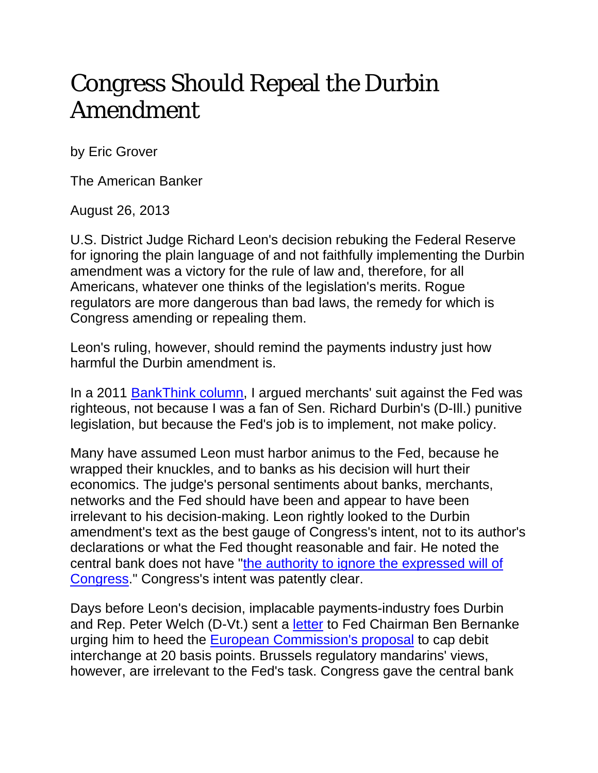## Congress Should Repeal the Durbin Amendment

by Eric Grover

The American Banker

August 26, 2013

U.S. District Judge Richard Leon's decision rebuking the Federal Reserve for ignoring the plain language of and not faithfully implementing the Durbin amendment was a victory for the rule of law and, therefore, for all Americans, whatever one thinks of the legislation's merits. Rogue regulators are more dangerous than bad laws, the remedy for which is Congress amending or repealing them.

Leon's ruling, however, should remind the payments industry just how harmful the Durbin amendment is.

In a 2011 BankThink column, I argued merchants' suit against the Fed was righteous, not because I was a fan of Sen. Richard Durbin's (D-Ill.) punitive legislation, but because the Fed's job is to implement, not make policy.

Many have assumed Leon must harbor animus to the Fed, because he wrapped their knuckles, and to banks as his decision will hurt their economics. The judge's personal sentiments about banks, merchants, networks and the Fed should have been and appear to have been irrelevant to his decision-making. Leon rightly looked to the Durbin amendment's text as the best gauge of Congress's intent, not to its author's declarations or what the Fed thought reasonable and fair. He noted the central bank does not have "the authority to ignore the expressed will of Congress." Congress's intent was patently clear.

Days before Leon's decision, implacable payments-industry foes Durbin and Rep. Peter Welch (D-Vt.) sent a letter to Fed Chairman Ben Bernanke urging him to heed the European Commission's proposal to cap debit interchange at 20 basis points. Brussels regulatory mandarins' views, however, are irrelevant to the Fed's task. Congress gave the central bank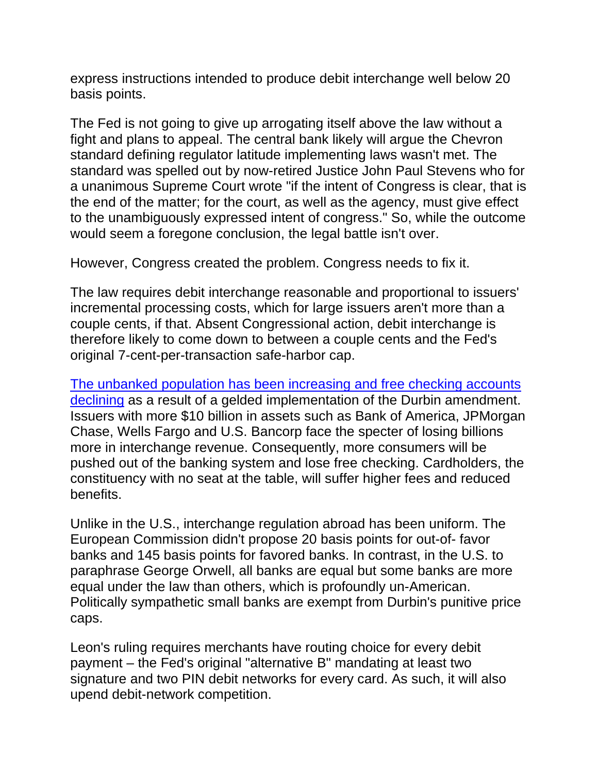express instructions intended to produce debit interchange well below 20 basis points.

The Fed is not going to give up arrogating itself above the law without a fight and plans to appeal. The central bank likely will argue the Chevron standard defining regulator latitude implementing laws wasn't met. The standard was spelled out by now-retired Justice John Paul Stevens who for a unanimous Supreme Court wrote "if the intent of Congress is clear, that is the end of the matter; for the court, as well as the agency, must give effect to the unambiguously expressed intent of congress." So, while the outcome would seem a foregone conclusion, the legal battle isn't over.

However, Congress created the problem. Congress needs to fix it.

The law requires debit interchange reasonable and proportional to issuers' incremental processing costs, which for large issuers aren't more than a couple cents, if that. Absent Congressional action, debit interchange is therefore likely to come down to between a couple cents and the Fed's original 7-cent-per-transaction safe-harbor cap.

The unbanked population has been increasing and free checking accounts declining as a result of a gelded implementation of the Durbin amendment. Issuers with more \$10 billion in assets such as Bank of America, JPMorgan Chase, Wells Fargo and U.S. Bancorp face the specter of losing billions more in interchange revenue. Consequently, more consumers will be pushed out of the banking system and lose free checking. Cardholders, the constituency with no seat at the table, will suffer higher fees and reduced benefits.

Unlike in the U.S., interchange regulation abroad has been uniform. The European Commission didn't propose 20 basis points for out-of- favor banks and 145 basis points for favored banks. In contrast, in the U.S. to paraphrase George Orwell, all banks are equal but some banks are more equal under the law than others, which is profoundly un-American. Politically sympathetic small banks are exempt from Durbin's punitive price caps.

Leon's ruling requires merchants have routing choice for every debit payment – the Fed's original "alternative B" mandating at least two signature and two PIN debit networks for every card. As such, it will also upend debit-network competition.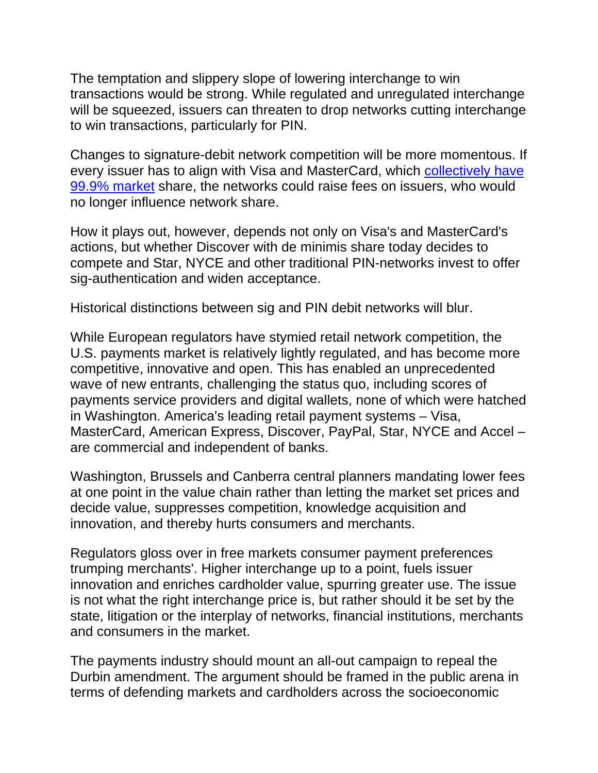The temptation and slippery slope of lowering interchange to win transactions would be strong. While regulated and unregulated interchange will be squeezed, issuers can threaten to drop networks cutting interchange to win transactions, particularly for PIN.

Changes to signature-debit network competition will be more momentous. If every issuer has to align with Visa and MasterCard, which collectively have 99.9% market share, the networks could raise fees on issuers, who would no longer influence network share.

How it plays out, however, depends not only on Visa's and MasterCard's actions, but whether Discover with de minimis share today decides to compete and Star, NYCE and other traditional PIN-networks invest to offer sig-authentication and widen acceptance.

Historical distinctions between sig and PIN debit networks will blur.

While European regulators have stymied retail network competition, the U.S. payments market is relatively lightly regulated, and has become more competitive, innovative and open. This has enabled an unprecedented wave of new entrants, challenging the status quo, including scores of payments service providers and digital wallets, none of which were hatched in Washington. America's leading retail payment systems – Visa, MasterCard, American Express, Discover, PayPal, Star, NYCE and Accel – are commercial and independent of banks.

Washington, Brussels and Canberra central planners mandating lower fees at one point in the value chain rather than letting the market set prices and decide value, suppresses competition, knowledge acquisition and innovation, and thereby hurts consumers and merchants.

Regulators gloss over in free markets consumer payment preferences trumping merchants'. Higher interchange up to a point, fuels issuer innovation and enriches cardholder value, spurring greater use. The issue is not what the right interchange price is, but rather should it be set by the state, litigation or the interplay of networks, financial institutions, merchants and consumers in the market.

The payments industry should mount an all-out campaign to repeal the Durbin amendment. The argument should be framed in the public arena in terms of defending markets and cardholders across the socioeconomic